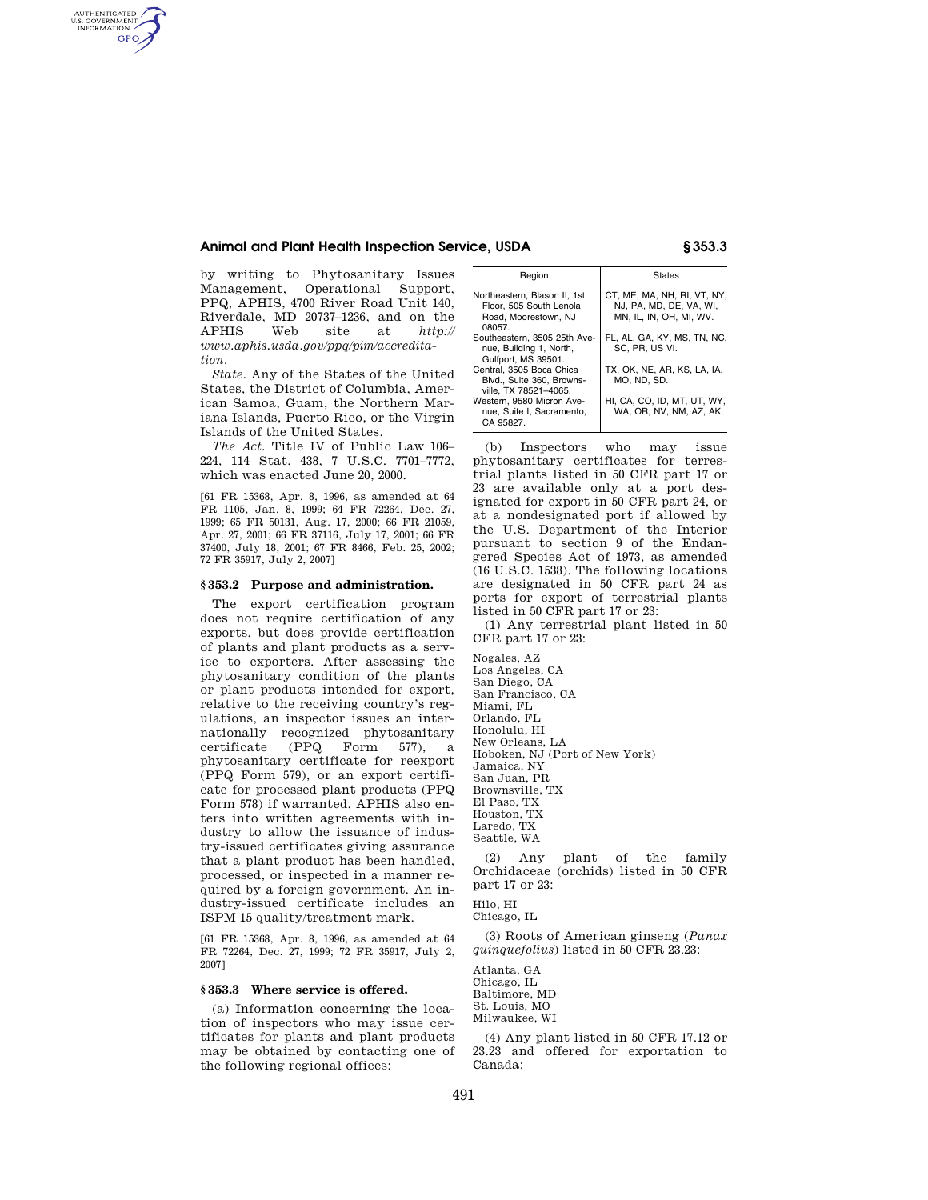### **Animal and Plant Health Inspection Service, USDA § 353.3**

by writing to Phytosanitary Issues Management, Operational Support, PPQ, APHIS, 4700 River Road Unit 140, Riverdale, MD 20737–1236, and on the APHIS Web site at *http:// www.aphis.usda.gov/ppq/pim/accreditation.* 

AUTHENTICATED<br>U.S. GOVERNMENT<br>INFORMATION **GPO** 

> *State.* Any of the States of the United States, the District of Columbia, American Samoa, Guam, the Northern Mariana Islands, Puerto Rico, or the Virgin Islands of the United States.

> *The Act.* Title IV of Public Law 106– 224, 114 Stat. 438, 7 U.S.C. 7701–7772, which was enacted June 20, 2000.

> [61 FR 15368, Apr. 8, 1996, as amended at 64 FR 1105, Jan. 8, 1999; 64 FR 72264, Dec. 27, 1999; 65 FR 50131, Aug. 17, 2000; 66 FR 21059, Apr. 27, 2001; 66 FR 37116, July 17, 2001; 66 FR 37400, July 18, 2001; 67 FR 8466, Feb. 25, 2002; 72 FR 35917, July 2, 2007]

### **§ 353.2 Purpose and administration.**

The export certification program does not require certification of any exports, but does provide certification of plants and plant products as a service to exporters. After assessing the phytosanitary condition of the plants or plant products intended for export, relative to the receiving country's regulations, an inspector issues an internationally recognized phytosanitary certificate (PPQ Form 577), a phytosanitary certificate for reexport (PPQ Form 579), or an export certificate for processed plant products (PPQ Form 578) if warranted. APHIS also enters into written agreements with industry to allow the issuance of industry-issued certificates giving assurance that a plant product has been handled, processed, or inspected in a manner required by a foreign government. An industry-issued certificate includes an ISPM 15 quality/treatment mark.

[61 FR 15368, Apr. 8, 1996, as amended at 64 FR 72264, Dec. 27, 1999; 72 FR 35917, July 2, 2007]

### **§ 353.3 Where service is offered.**

(a) Information concerning the location of inspectors who may issue certificates for plants and plant products may be obtained by contacting one of the following regional offices:

| Region                                                                                    | <b>States</b>                                                                     |
|-------------------------------------------------------------------------------------------|-----------------------------------------------------------------------------------|
| Northeastern, Blason II, 1st<br>Floor, 505 South Lenola<br>Road, Moorestown, NJ<br>08057. | CT. ME. MA. NH. RI. VT. NY.<br>NJ. PA. MD. DE. VA. WI.<br>MN, IL, IN, OH, MI, WV. |
| Southeastern, 3505 25th Ave-<br>nue, Building 1, North,<br>Gulfport, MS 39501.            | FL, AL, GA, KY, MS, TN, NC,<br>SC. PR. US VI.                                     |
| Central. 3505 Boca Chica<br>Blvd., Suite 360, Browns-<br>ville, TX 78521-4065.            | TX, OK, NE, AR, KS, LA, IA,<br>MO. ND. SD.                                        |
| Western, 9580 Micron Ave-<br>nue. Suite I. Sacramento.<br>CA 95827.                       | HI, CA, CO, ID, MT, UT, WY,<br>WA. OR. NV. NM. AZ. AK.                            |

(b) Inspectors who may issue phytosanitary certificates for terrestrial plants listed in 50 CFR part 17 or 23 are available only at a port designated for export in 50 CFR part 24, or at a nondesignated port if allowed by the U.S. Department of the Interior pursuant to section 9 of the Endangered Species Act of 1973, as amended (16 U.S.C. 1538). The following locations are designated in 50 CFR part 24 as ports for export of terrestrial plants listed in 50 CFR part 17 or 23:

(1) Any terrestrial plant listed in 50 CFR part 17 or 23:

Nogales, AZ Los Angeles, CA San Diego, CA San Francisco, CA Miami, FL Orlando, FL Honolulu, HI New Orleans, LA Hoboken, NJ (Port of New York) Jamaica, NY San Juan, PR Brownsville, TX El Paso, TX Houston, TX Laredo, TX Seattle, WA

(2) Any plant of the family Orchidaceae (orchids) listed in 50 CFR part 17 or 23:

Hilo, HI Chicago, IL

(3) Roots of American ginseng (*Panax quinquefolius*) listed in 50 CFR 23.23:

Atlanta, GA Chicago, IL Baltimore, MD St. Louis, MO Milwaukee, WI

(4) Any plant listed in 50 CFR 17.12 or 23.23 and offered for exportation to Canada: